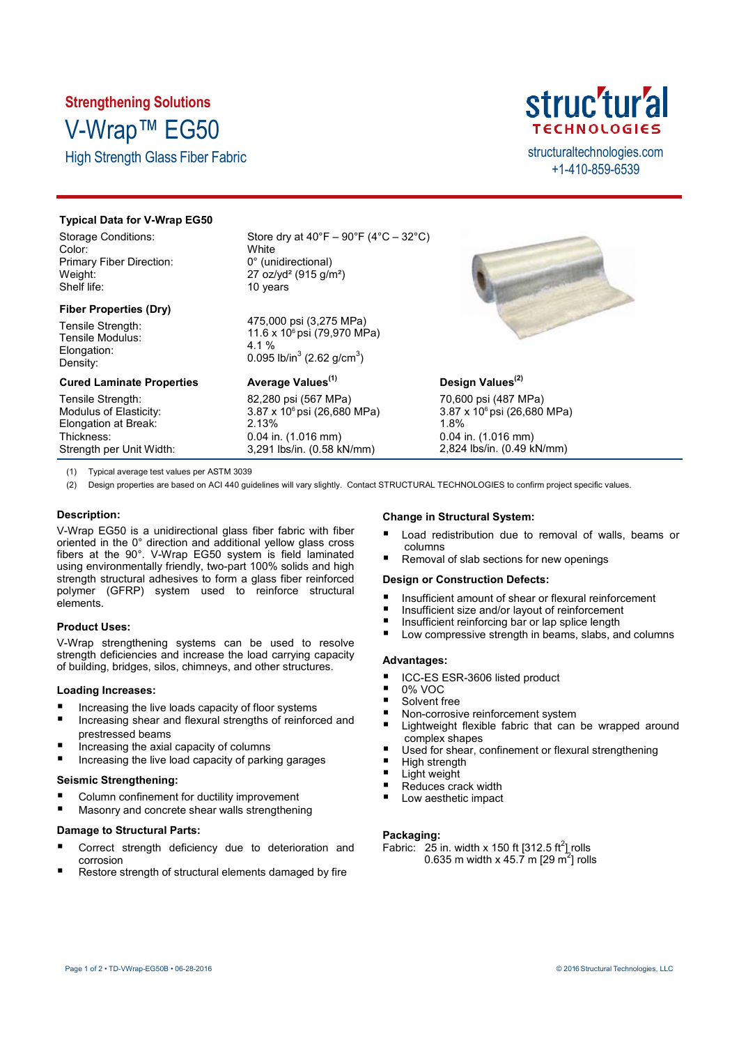# **Strengthening Solutions** V-Wrap™ EG50

High Strength Glass Fiber Fabric structural technologies.com



+1-410-859-6539

# **Typical Data for V-Wrap EG50**

Storage Conditions: Color: Primary Fiber Direction: Weight: Shelf life:

### **Fiber Properties (Dry)**

Tensile Strength: Tensile Modulus: Elongation: Density:

Store dry at  $40^{\circ}F - 90^{\circ}F (4^{\circ}C - 32^{\circ}C)$ **White** 0° (unidirectional) 27 oz/yd² (915 g/m²) 10 years

475,000 psi (3,275 MPa) 11.6 x 10<sup>6</sup> psi (79,970 MPa) 4.1 % 0.095 lb/in $^3$  (2.62 g/cm $^3$ )

| <b>Cured Laminate Properties</b> | Average Values <sup>(1)</sup> |
|----------------------------------|-------------------------------|
| Tensile Strength:                | 82,280 psi (567 MPa)          |
| Modulus of Elasticity:           | 3.87 x 10° psi (26,680 MPa)   |
| Elongation at Break:             | 2.13%                         |
| Thickness:                       | $0.04$ in. $(1.016$ mm)       |
| Strength per Unit Width:         | 3,291 lbs/in. (0.58 kN/mm)    |



# **Design Values(2)**

70,600 psi (487 MPa) 3.87 x 10<sup>6</sup> psi (26,680 MPa) 1.8% 0.04 in. (1.016 mm) 2,824 lbs/in. (0.49 kN/mm)

(1) Typical average test values per ASTM 3039

(2) Design properties are based on ACI 440 quidelines will vary slightly. Contact STRUCTURAL TECHNOLOGIES to confirm project specific values.

# **Description:**

V-Wrap EG50 is a unidirectional glass fiber fabric with fiber oriented in the 0° direction and additional yellow glass cross fibers at the 90°. V-Wrap EG50 system is field laminated using environmentally friendly, two-part 100% solids and high strength structural adhesives to form a glass fiber reinforced polymer (GFRP) system used to reinforce structural elements.

# **Product Uses:**

V-Wrap strengthening systems can be used to resolve strength deficiencies and increase the load carrying capacity of building, bridges, silos, chimneys, and other structures.

# **Loading Increases:**

- $\blacksquare$  Increasing the live loads capacity of floor systems
- Increasing shear and flexural strengths of reinforced and prestressed beams
- Increasing the axial capacity of columns
- Increasing the live load capacity of parking garages

## **Seismic Strengthening:**

- Column confinement for ductility improvement
- Masonry and concrete shear walls strengthening

### **Damage to Structural Parts:**

- Correct strength deficiency due to deterioration and corrosion
- Restore strength of structural elements damaged by fire

# **Change in Structural System:**

- Load redistribution due to removal of walls, beams or columns
- Removal of slab sections for new openings

# **Design or Construction Defects:**

- Insufficient amount of shear or flexural reinforcement
- Insufficient size and/or layout of reinforcement<br>Insufficient reinforcing har or lan splice length
- Insufficient reinforcing bar or lap splice length<br>In Low compressive strength in beams, slabs, and
- Low compressive strength in beams, slabs, and columns

# **Advantages:**

- ICC-ES ESR-3606 listed product
- 0% VOC
- Solvent free
- Non-corrosive reinforcement system
- Lightweight flexible fabric that can be wrapped around complex shapes
- Used for shear, confinement or flexural strengthening
- $\blacksquare$  High strength
- Light weight
- Reduces crack width
- Low aesthetic impact

# **Packaging:**

Fabric:  $25$  in. width x 150 ft [312.5 ft<sup>2</sup>] rolls 0.635 m width x 45.7 m [29 m<sup>2</sup>] rolls